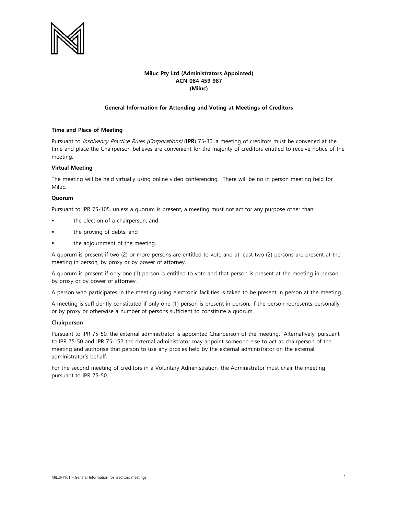

# **Miluc Pty Ltd (Administrators Appointed) ACN 084 459 987 (Miluc)**

### **General Information for Attending and Voting at Meetings of Creditors**

#### **Time and Place of Meeting**

Pursuant to Insolvency Practice Rules (Corporations) (**IPR**) 75-30, a meeting of creditors must be convened at the time and place the Chairperson believes are convenient for the majority of creditors entitled to receive notice of the meeting.

#### **Virtual Meeting**

The meeting will be held virtually using online video conferencing. There will be no in person meeting held for Miluc.

#### **Quorum**

Pursuant to IPR 75-105, unless a quorum is present, a meeting must not act for any purpose other than:

- the election of a chairperson; and
- the proving of debts; and
- the adjournment of the meeting.

A quorum is present if two (2) or more persons are entitled to vote and at least two (2) persons are present at the meeting in person, by proxy or by power of attorney.

A quorum is present if only one (1) person is entitled to vote and that person is present at the meeting in person, by proxy or by power of attorney.

A person who participates in the meeting using electronic facilities is taken to be present in person at the meeting.

A meeting is sufficiently constituted if only one (1) person is present in person, if the person represents personally or by proxy or otherwise a number of persons sufficient to constitute a quorum.

#### **Chairperson**

Pursuant to IPR 75-50, the external administrator is appointed Chairperson of the meeting. Alternatively, pursuant to IPR 75-50 and IPR 75-152 the external administrator may appoint someone else to act as chairperson of the meeting and authorise that person to use any proxies held by the external administrator on the external administrator's behalf.

For the second meeting of creditors in a Voluntary Administration, the Administrator must chair the meeting pursuant to IPR 75-50.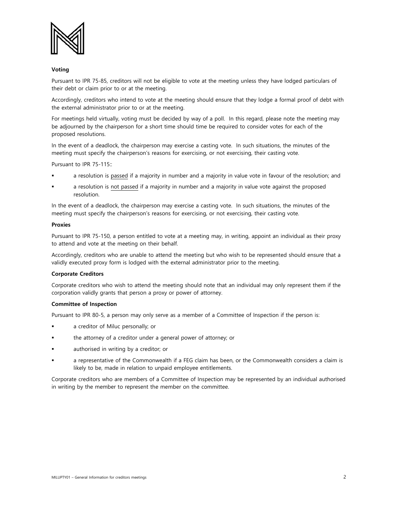

#### **Voting**

Pursuant to IPR 75-85, creditors will not be eligible to vote at the meeting unless they have lodged particulars of their debt or claim prior to or at the meeting.

Accordingly, creditors who intend to vote at the meeting should ensure that they lodge a formal proof of debt with the external administrator prior to or at the meeting.

For meetings held virtually, voting must be decided by way of a poll. In this regard, please note the meeting may be adjourned by the chairperson for a short time should time be required to consider votes for each of the proposed resolutions.

In the event of a deadlock, the chairperson may exercise a casting vote. In such situations, the minutes of the meeting must specify the chairperson's reasons for exercising, or not exercising, their casting vote.

Pursuant to IPR 75-115::

- a resolution is passed if a majority in number and a majority in value vote in favour of the resolution; and
- a resolution is not passed if a majority in number and a majority in value vote against the proposed resolution.

In the event of a deadlock, the chairperson may exercise a casting vote. In such situations, the minutes of the meeting must specify the chairperson's reasons for exercising, or not exercising, their casting vote.

#### **Proxies**

Pursuant to IPR 75-150, a person entitled to vote at a meeting may, in writing, appoint an individual as their proxy to attend and vote at the meeting on their behalf.

Accordingly, creditors who are unable to attend the meeting but who wish to be represented should ensure that a validly executed proxy form is lodged with the external administrator prior to the meeting.

### **Corporate Creditors**

Corporate creditors who wish to attend the meeting should note that an individual may only represent them if the corporation validly grants that person a proxy or power of attorney.

#### **Committee of Inspection**

Pursuant to IPR 80-5, a person may only serve as a member of a Committee of Inspection if the person is:

- a creditor of Miluc personally; or
- the attorney of a creditor under a general power of attorney; or
- authorised in writing by a creditor; or
- a representative of the Commonwealth if a FEG claim has been, or the Commonwealth considers a claim is likely to be, made in relation to unpaid employee entitlements.

Corporate creditors who are members of a Committee of Inspection may be represented by an individual authorised in writing by the member to represent the member on the committee.